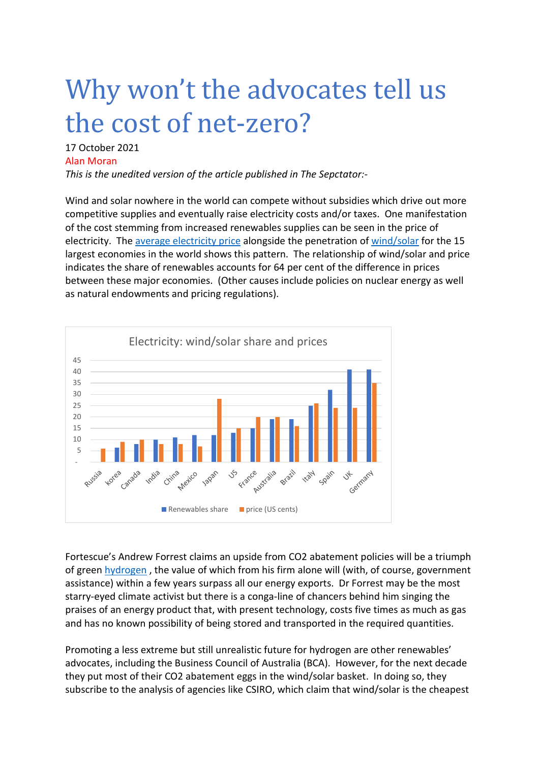## Why won't the advocates tell us the cost of net-zero?

## 17 October 2021 Alan Moran

*This is the unedited version of the article published in The Sepctator:-*

Wind and solar nowhere in the world can compete without subsidies which drive out more competitive supplies and eventually raise electricity costs and/or taxes. One manifestation of the cost stemming from increased renewables supplies can be seen in the price of electricity. The [average electricity price](https://www.hostdime.com/blog/average-cost-of-electricity-per-country/) alongside the penetration of [wind/solar](https://www.bp.com/content/dam/bp/business-sites/en/global/corporate/pdfs/energy-economics/statistical-review/bp-stats-review-2021-renewable-energy.pdf) for the 15 largest economies in the world shows this pattern. The relationship of wind/solar and price indicates the share of renewables accounts for 64 per cent of the difference in prices between these major economies. (Other causes include policies on nuclear energy as well as natural endowments and pricing regulations).



Fortescue's Andrew Forrest claims an upside from CO2 abatement policies will be a triumph of green [hydrogen](https://www.theaustralian.com.au/business/andrew-forrest-plans-green-energy-giant-producing-renewable-clean-hydrogen/news-story/3216f6e990582689b44a6740d70044b5) , the value of which from his firm alone will (with, of course, government assistance) within a few years surpass all our energy exports. Dr Forrest may be the most starry-eyed climate activist but there is a conga-line of chancers behind him singing the praises of an energy product that, with present technology, costs five times as much as gas and has no known possibility of being stored and transported in the required quantities.

Promoting a less extreme but still unrealistic future for hydrogen are other renewables' advocates, including the Business Council of Australia (BCA). However, for the next decade they put most of their CO2 abatement eggs in the wind/solar basket. In doing so, they subscribe to the analysis of agencies like CSIRO, which claim that wind/solar is the cheapest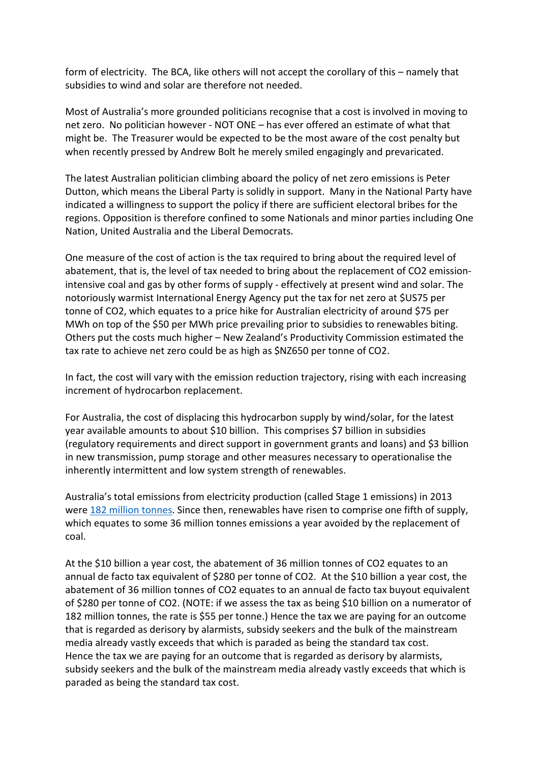form of electricity. The BCA, like others will not accept the corollary of this – namely that subsidies to wind and solar are therefore not needed.

Most of Australia's more grounded politicians recognise that a cost is involved in moving to net zero. No politician however - NOT ONE – has ever offered an estimate of what that might be. The Treasurer would be expected to be the most aware of the cost penalty but when recently pressed by Andrew Bolt he merely smiled engagingly and prevaricated.

The latest Australian politician climbing aboard the policy of net zero emissions is Peter Dutton, which means the Liberal Party is solidly in support. Many in the National Party have indicated a willingness to support the policy if there are sufficient electoral bribes for the regions. Opposition is therefore confined to some Nationals and minor parties including One Nation, United Australia and the Liberal Democrats.

One measure of the cost of action is the tax required to bring about the required level of abatement, that is, the level of tax needed to bring about the replacement of CO2 emissionintensive coal and gas by other forms of supply - effectively at present wind and solar. The notoriously warmist International Energy Agency put the tax for net zero at \$US75 per tonne of CO2, which equates to a price hike for Australian electricity of around \$75 per MWh on top of the \$50 per MWh price prevailing prior to subsidies to renewables biting. Others put the costs much higher – New Zealand's Productivity Commission estimated the tax rate to achieve net zero could be as high as \$NZ650 per tonne of CO2.

In fact, the cost will vary with the emission reduction trajectory, rising with each increasing increment of hydrocarbon replacement.

For Australia, the cost of displacing this hydrocarbon supply by wind/solar, for the latest year available amounts to about \$10 billion. This comprises \$7 billion in subsidies (regulatory requirements and direct support in government grants and loans) and \$3 billion in new transmission, pump storage and other measures necessary to operationalise the inherently intermittent and low system strength of renewables.

Australia's total emissions from electricity production (called Stage 1 emissions) in 2013 were [182 million tonnes.](http://www.cleanenergyregulator.gov.au/NGER/National%20greenhouse%20and%20energy%20reporting%20data/electricity-sector-emissions-and-generation-data/electricity-sector-emissions-and-generation-data-2012-13) Since then, renewables have risen to comprise one fifth of supply, which equates to some 36 million tonnes emissions a year avoided by the replacement of coal.

At the \$10 billion a year cost, the abatement of 36 million tonnes of CO2 equates to an annual de facto tax equivalent of \$280 per tonne of CO2. At the \$10 billion a year cost, the abatement of 36 million tonnes of CO2 equates to an annual de facto tax buyout equivalent of \$280 per tonne of CO2. (NOTE: if we assess the tax as being \$10 billion on a numerator of 182 million tonnes, the rate is \$55 per tonne.) Hence the tax we are paying for an outcome that is regarded as derisory by alarmists, subsidy seekers and the bulk of the mainstream media already vastly exceeds that which is paraded as being the standard tax cost. Hence the tax we are paying for an outcome that is regarded as derisory by alarmists, subsidy seekers and the bulk of the mainstream media already vastly exceeds that which is paraded as being the standard tax cost.